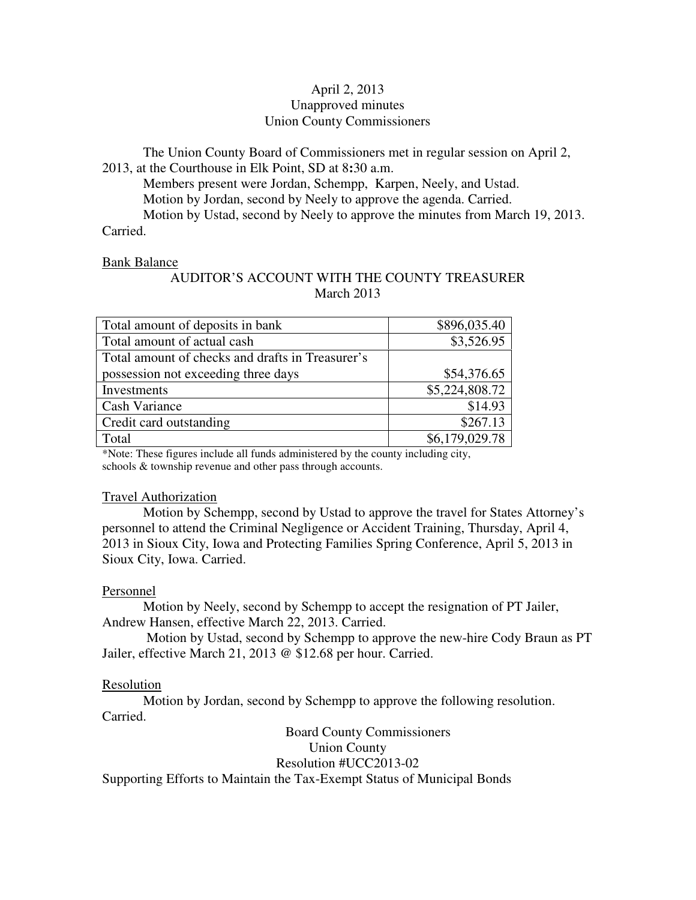## April 2, 2013 Unapproved minutes Union County Commissioners

The Union County Board of Commissioners met in regular session on April 2, 2013, at the Courthouse in Elk Point, SD at 8**:**30 a.m.

 Members present were Jordan, Schempp, Karpen, Neely, and Ustad. Motion by Jordan, second by Neely to approve the agenda. Carried. Motion by Ustad, second by Neely to approve the minutes from March 19, 2013. Carried.

#### Bank Balance

# AUDITOR'S ACCOUNT WITH THE COUNTY TREASURER March 2013

| Total amount of deposits in bank                 | \$896,035.40   |
|--------------------------------------------------|----------------|
| Total amount of actual cash                      | \$3,526.95     |
| Total amount of checks and drafts in Treasurer's |                |
| possession not exceeding three days              | \$54,376.65    |
| Investments                                      | \$5,224,808.72 |
| Cash Variance                                    | \$14.93        |
| Credit card outstanding                          | \$267.13       |
| Total                                            | \$6,179,029.78 |

\*Note: These figures include all funds administered by the county including city, schools & township revenue and other pass through accounts.

### Travel Authorization

 Motion by Schempp, second by Ustad to approve the travel for States Attorney's personnel to attend the Criminal Negligence or Accident Training, Thursday, April 4, 2013 in Sioux City, Iowa and Protecting Families Spring Conference, April 5, 2013 in Sioux City, Iowa. Carried.

### Personnel

 Motion by Neely, second by Schempp to accept the resignation of PT Jailer, Andrew Hansen, effective March 22, 2013. Carried.

 Motion by Ustad, second by Schempp to approve the new-hire Cody Braun as PT Jailer, effective March 21, 2013 @ \$12.68 per hour. Carried.

### Resolution

 Motion by Jordan, second by Schempp to approve the following resolution. Carried.

 Board County Commissioners Union County Resolution #UCC2013-02 Supporting Efforts to Maintain the Tax-Exempt Status of Municipal Bonds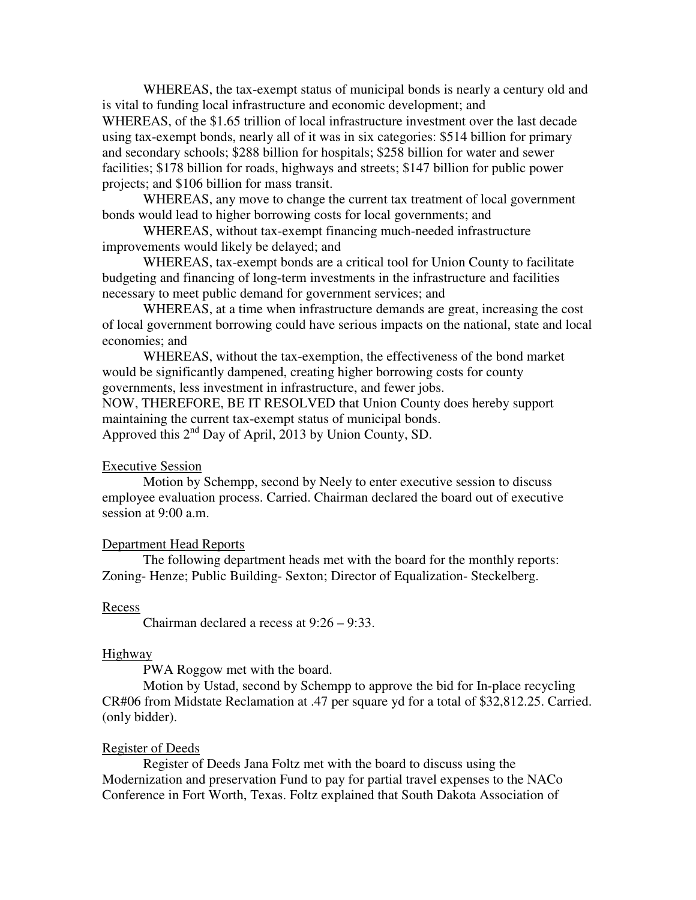WHEREAS, the tax-exempt status of municipal bonds is nearly a century old and is vital to funding local infrastructure and economic development; and WHEREAS, of the \$1.65 trillion of local infrastructure investment over the last decade using tax-exempt bonds, nearly all of it was in six categories: \$514 billion for primary and secondary schools; \$288 billion for hospitals; \$258 billion for water and sewer facilities; \$178 billion for roads, highways and streets; \$147 billion for public power projects; and \$106 billion for mass transit.

 WHEREAS, any move to change the current tax treatment of local government bonds would lead to higher borrowing costs for local governments; and

 WHEREAS, without tax-exempt financing much-needed infrastructure improvements would likely be delayed; and

 WHEREAS, tax-exempt bonds are a critical tool for Union County to facilitate budgeting and financing of long-term investments in the infrastructure and facilities necessary to meet public demand for government services; and

 WHEREAS, at a time when infrastructure demands are great, increasing the cost of local government borrowing could have serious impacts on the national, state and local economies; and

 WHEREAS, without the tax-exemption, the effectiveness of the bond market would be significantly dampened, creating higher borrowing costs for county governments, less investment in infrastructure, and fewer jobs.

NOW, THEREFORE, BE IT RESOLVED that Union County does hereby support maintaining the current tax-exempt status of municipal bonds. Approved this 2<sup>nd</sup> Day of April, 2013 by Union County, SD.

#### Executive Session

 Motion by Schempp, second by Neely to enter executive session to discuss employee evaluation process. Carried. Chairman declared the board out of executive session at 9:00 a.m.

#### Department Head Reports

 The following department heads met with the board for the monthly reports: Zoning- Henze; Public Building- Sexton; Director of Equalization- Steckelberg.

#### Recess

Chairman declared a recess at 9:26 – 9:33.

#### **Highway**

PWA Roggow met with the board.

 Motion by Ustad, second by Schempp to approve the bid for In-place recycling CR#06 from Midstate Reclamation at .47 per square yd for a total of \$32,812.25. Carried. (only bidder).

#### Register of Deeds

 Register of Deeds Jana Foltz met with the board to discuss using the Modernization and preservation Fund to pay for partial travel expenses to the NACo Conference in Fort Worth, Texas. Foltz explained that South Dakota Association of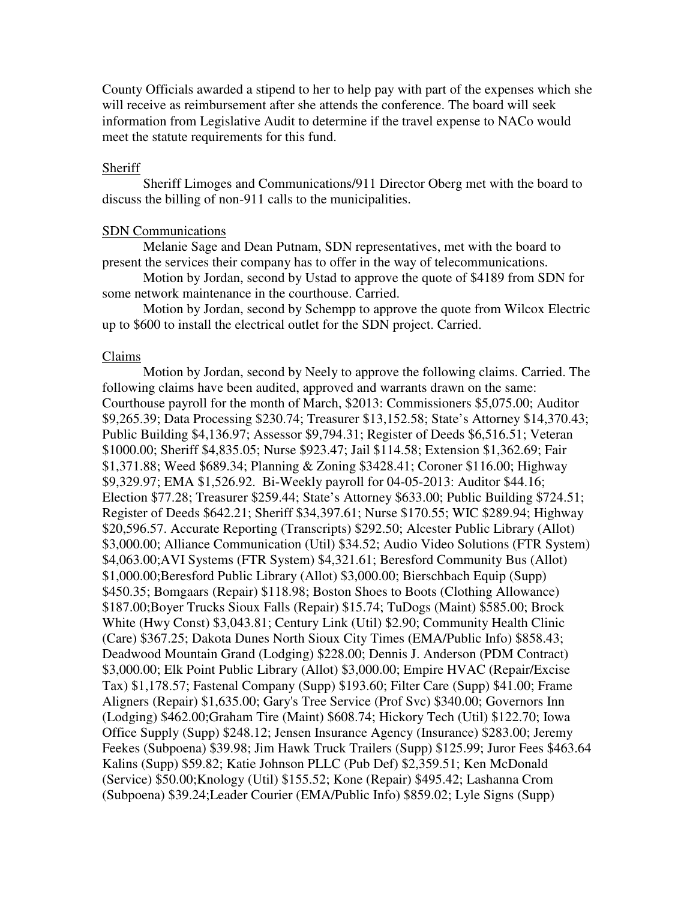County Officials awarded a stipend to her to help pay with part of the expenses which she will receive as reimbursement after she attends the conference. The board will seek information from Legislative Audit to determine if the travel expense to NACo would meet the statute requirements for this fund.

#### **Sheriff**

 Sheriff Limoges and Communications/911 Director Oberg met with the board to discuss the billing of non-911 calls to the municipalities.

#### SDN Communications

 Melanie Sage and Dean Putnam, SDN representatives, met with the board to present the services their company has to offer in the way of telecommunications.

 Motion by Jordan, second by Ustad to approve the quote of \$4189 from SDN for some network maintenance in the courthouse. Carried.

 Motion by Jordan, second by Schempp to approve the quote from Wilcox Electric up to \$600 to install the electrical outlet for the SDN project. Carried.

#### Claims

 Motion by Jordan, second by Neely to approve the following claims. Carried. The following claims have been audited, approved and warrants drawn on the same: Courthouse payroll for the month of March, \$2013: Commissioners \$5,075.00; Auditor \$9,265.39; Data Processing \$230.74; Treasurer \$13,152.58; State's Attorney \$14,370.43; Public Building \$4,136.97; Assessor \$9,794.31; Register of Deeds \$6,516.51; Veteran \$1000.00; Sheriff \$4,835.05; Nurse \$923.47; Jail \$114.58; Extension \$1,362.69; Fair \$1,371.88; Weed \$689.34; Planning & Zoning \$3428.41; Coroner \$116.00; Highway \$9,329.97; EMA \$1,526.92. Bi-Weekly payroll for 04-05-2013: Auditor \$44.16; Election \$77.28; Treasurer \$259.44; State's Attorney \$633.00; Public Building \$724.51; Register of Deeds \$642.21; Sheriff \$34,397.61; Nurse \$170.55; WIC \$289.94; Highway \$20,596.57. Accurate Reporting (Transcripts) \$292.50; Alcester Public Library (Allot) \$3,000.00; Alliance Communication (Util) \$34.52; Audio Video Solutions (FTR System) \$4,063.00;AVI Systems (FTR System) \$4,321.61; Beresford Community Bus (Allot) \$1,000.00;Beresford Public Library (Allot) \$3,000.00; Bierschbach Equip (Supp) \$450.35; Bomgaars (Repair) \$118.98; Boston Shoes to Boots (Clothing Allowance) \$187.00;Boyer Trucks Sioux Falls (Repair) \$15.74; TuDogs (Maint) \$585.00; Brock White (Hwy Const) \$3,043.81; Century Link (Util) \$2.90; Community Health Clinic (Care) \$367.25; Dakota Dunes North Sioux City Times (EMA/Public Info) \$858.43; Deadwood Mountain Grand (Lodging) \$228.00; Dennis J. Anderson (PDM Contract) \$3,000.00; Elk Point Public Library (Allot) \$3,000.00; Empire HVAC (Repair/Excise Tax) \$1,178.57; Fastenal Company (Supp) \$193.60; Filter Care (Supp) \$41.00; Frame Aligners (Repair) \$1,635.00; Gary's Tree Service (Prof Svc) \$340.00; Governors Inn (Lodging) \$462.00;Graham Tire (Maint) \$608.74; Hickory Tech (Util) \$122.70; Iowa Office Supply (Supp) \$248.12; Jensen Insurance Agency (Insurance) \$283.00; Jeremy Feekes (Subpoena) \$39.98; Jim Hawk Truck Trailers (Supp) \$125.99; Juror Fees \$463.64 Kalins (Supp) \$59.82; Katie Johnson PLLC (Pub Def) \$2,359.51; Ken McDonald (Service) \$50.00;Knology (Util) \$155.52; Kone (Repair) \$495.42; Lashanna Crom (Subpoena) \$39.24;Leader Courier (EMA/Public Info) \$859.02; Lyle Signs (Supp)